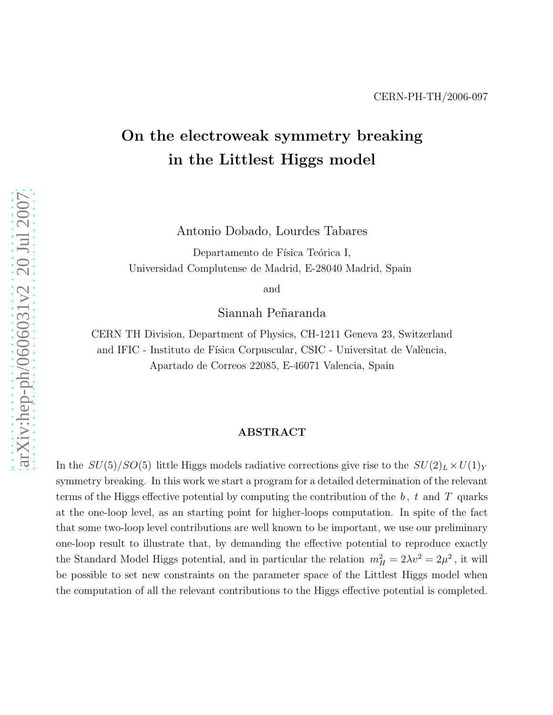# On the electroweak symmetry breaking in the Littlest Higgs model

Antonio Dobado, Lourdes Tabares

Departamento de Física Teórica I, Universidad Complutense de Madrid, E-28040 Madrid, Spain

and

Siannah Peñaranda

CERN TH Division, Department of Physics, CH-1211 Geneva 23, Switzerland and IFIC - Instituto de Física Corpuscular, CSIC - Universitat de València, Apartado de Correos 22085, E-46071 Valencia, Spain

#### ABSTRACT

In the  $SU(5)/SO(5)$  little Higgs models radiative corrections give rise to the  $SU(2)_L \times U(1)_Y$ symmetry breaking. In this work we start a program for a detailed determination of the relevant terms of the Higgs effective potential by computing the contribution of the  $b, t$  and T quarks at the one-loop level, as an starting point for higher-loops computation. In spite of the fact that some two-loop level contributions are well known to be important, we use our preliminary one-loop result to illustrate that, by demanding the effective potential to reproduce exactly the Standard Model Higgs potential, and in particular the relation  $m_H^2 = 2\lambda v^2 = 2\mu^2$ , it will be possible to set new constraints on the parameter space of the Littlest Higgs model when the computation of all the relevant contributions to the Higgs effective potential is completed.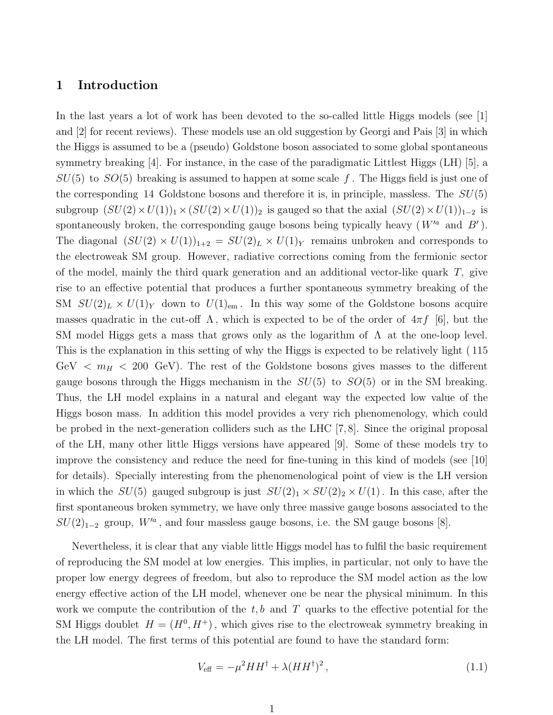#### 1 Introduction

In the last years a lot of work has been devoted to the so-called little Higgs models (see [1] and [2] for recent reviews). These models use an old suggestion by Georgi and Pais [3] in which the Higgs is assumed to be a (pseudo) Goldstone boson associated to some global spontaneous symmetry breaking [4]. For instance, in the case of the paradigmatic Littlest Higgs (LH) [5], a  $SU(5)$  to  $SO(5)$  breaking is assumed to happen at some scale f. The Higgs field is just one of the corresponding 14 Goldstone bosons and therefore it is, in principle, massless. The  $SU(5)$ subgroup  $(SU(2) \times U(1))_1 \times (SU(2) \times U(1))_2$  is gauged so that the axial  $(SU(2) \times U(1))_{1-2}$  is spontaneously broken, the corresponding gauge bosons being typically heavy  $(W'^a$  and  $B')$ . The diagonal  $(SU(2) \times U(1))_{1+2} = SU(2)_L \times U(1)_Y$  remains unbroken and corresponds to the electroweak SM group. However, radiative corrections coming from the fermionic sector of the model, mainly the third quark generation and an additional vector-like quark T, give rise to an effective potential that produces a further spontaneous symmetry breaking of the SM  $SU(2)_L \times U(1)_Y$  down to  $U(1)_{em}$ . In this way some of the Goldstone bosons acquire masses quadratic in the cut-off  $\Lambda$ , which is expected to be of the order of  $4\pi f$  [6], but the SM model Higgs gets a mass that grows only as the logarithm of  $\Lambda$  at the one-loop level. This is the explanation in this setting of why the Higgs is expected to be relatively light ( 115 GeV  $\langle m_H \rangle$  = 200 GeV). The rest of the Goldstone bosons gives masses to the different gauge bosons through the Higgs mechanism in the  $SU(5)$  to  $SO(5)$  or in the SM breaking. Thus, the LH model explains in a natural and elegant way the expected low value of the Higgs boson mass. In addition this model provides a very rich phenomenology, which could be probed in the next-generation colliders such as the LHC [7, 8]. Since the original proposal of the LH, many other little Higgs versions have appeared [9]. Some of these models try to improve the consistency and reduce the need for fine-tuning in this kind of models (see [10] for details). Specially interesting from the phenomenological point of view is the LH version in which the  $SU(5)$  gauged subgroup is just  $SU(2)_1 \times SU(2)_2 \times U(1)$ . In this case, after the first spontaneous broken symmetry, we have only three massive gauge bosons associated to the  $SU(2)_{1-2}$  group,  $W'^a$ , and four massless gauge bosons, i.e. the SM gauge bosons [8].

Nevertheless, it is clear that any viable little Higgs model has to fulfil the basic requirement of reproducing the SM model at low energies. This implies, in particular, not only to have the proper low energy degrees of freedom, but also to reproduce the SM model action as the low energy effective action of the LH model, whenever one be near the physical minimum. In this work we compute the contribution of the  $t, b$  and T quarks to the effective potential for the SM Higgs doublet  $H = (H^0, H^+)$ , which gives rise to the electroweak symmetry breaking in the LH model. The first terms of this potential are found to have the standard form:

<span id="page-1-0"></span>
$$
V_{\text{eff}} = -\mu^2 H H^\dagger + \lambda (H H^\dagger)^2, \qquad (1.1)
$$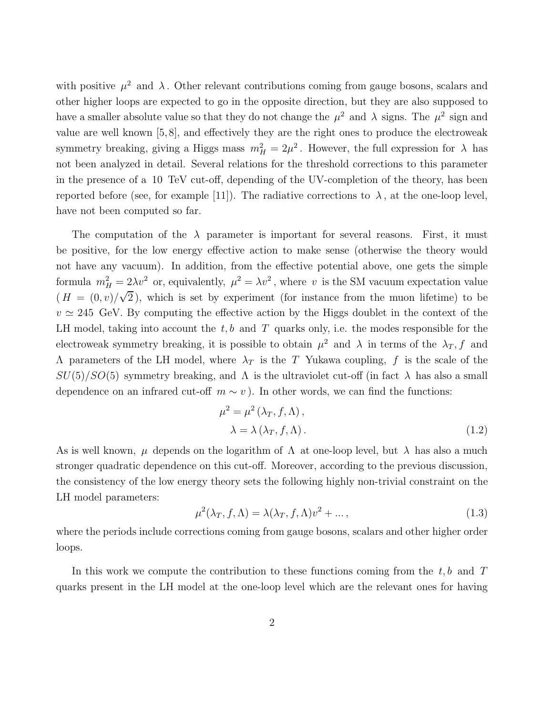with positive  $\mu^2$  and  $\lambda$ . Other relevant contributions coming from gauge bosons, scalars and other higher loops are expected to go in the opposite direction, but they are also supposed to have a smaller absolute value so that they do not change the  $\mu^2$  and  $\lambda$  signs. The  $\mu^2$  sign and value are well known [5, 8], and effectively they are the right ones to produce the electroweak symmetry breaking, giving a Higgs mass  $m_H^2 = 2\mu^2$ . However, the full expression for  $\lambda$  has not been analyzed in detail. Several relations for the threshold corrections to this parameter in the presence of a 10 TeV cut-off, depending of the UV-completion of the theory, has been reported before (see, for example [11]). The radiative corrections to  $\lambda$ , at the one-loop level, have not been computed so far.

The computation of the  $\lambda$  parameter is important for several reasons. First, it must be positive, for the low energy effective action to make sense (otherwise the theory would not have any vacuum). In addition, from the effective potential above, one gets the simple formula  $m_H^2 = 2\lambda v^2$  or, equivalently,  $\mu^2 = \lambda v^2$ , where v is the SM vacuum expectation value  $(H = (0, v)/\sqrt{2})$ , which is set by experiment (for instance from the muon lifetime) to be  $v \simeq 245$  GeV. By computing the effective action by the Higgs doublet in the context of the LH model, taking into account the  $t, b$  and T quarks only, i.e. the modes responsible for the electroweak symmetry breaking, it is possible to obtain  $\mu^2$  and  $\lambda$  in terms of the  $\lambda_T$ , f and  $Λ$  parameters of the LH model, where  $λ_T$  is the T Yukawa coupling, f is the scale of the  $SU(5)/SO(5)$  symmetry breaking, and  $\Lambda$  is the ultraviolet cut-off (in fact  $\lambda$  has also a small dependence on an infrared cut-off  $m \sim v$ ). In other words, we can find the functions:

$$
\mu^{2} = \mu^{2} (\lambda_{T}, f, \Lambda),
$$
  

$$
\lambda = \lambda (\lambda_{T}, f, \Lambda).
$$
 (1.2)

As is well known,  $\mu$  depends on the logarithm of  $\Lambda$  at one-loop level, but  $\lambda$  has also a much stronger quadratic dependence on this cut-off. Moreover, according to the previous discussion, the consistency of the low energy theory sets the following highly non-trivial constraint on the LH model parameters:

<span id="page-2-0"></span>
$$
\mu^2(\lambda_T, f, \Lambda) = \lambda(\lambda_T, f, \Lambda)v^2 + \dots,
$$
\n(1.3)

where the periods include corrections coming from gauge bosons, scalars and other higher order loops.

In this work we compute the contribution to these functions coming from the  $t, b$  and T quarks present in the LH model at the one-loop level which are the relevant ones for having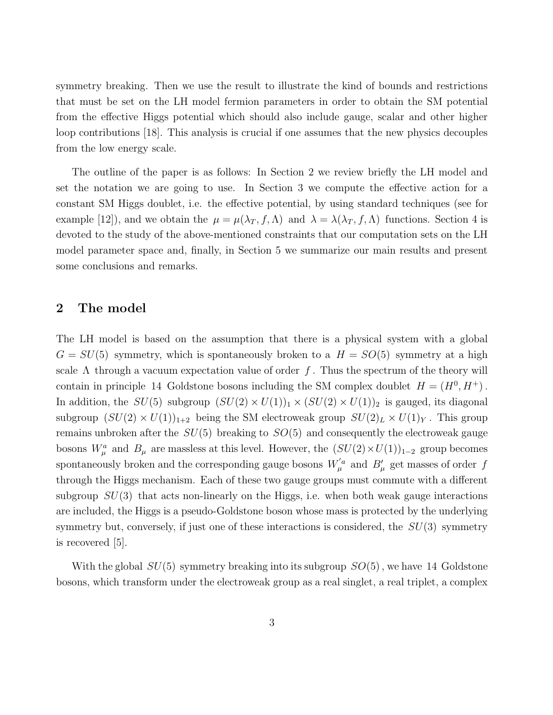symmetry breaking. Then we use the result to illustrate the kind of bounds and restrictions that must be set on the LH model fermion parameters in order to obtain the SM potential from the effective Higgs potential which should also include gauge, scalar and other higher loop contributions [18]. This analysis is crucial if one assumes that the new physics decouples from the low energy scale.

The outline of the paper is as follows: In Section 2 we review briefly the LH model and set the notation we are going to use. In Section 3 we compute the effective action for a constant SM Higgs doublet, i.e. the effective potential, by using standard techniques (see for example [12]), and we obtain the  $\mu = \mu(\lambda_T, f, \Lambda)$  and  $\lambda = \lambda(\lambda_T, f, \Lambda)$  functions. Section 4 is devoted to the study of the above-mentioned constraints that our computation sets on the LH model parameter space and, finally, in Section 5 we summarize our main results and present some conclusions and remarks.

#### 2 The model

The LH model is based on the assumption that there is a physical system with a global  $G = SU(5)$  symmetry, which is spontaneously broken to a  $H = SO(5)$  symmetry at a high scale  $\Lambda$  through a vacuum expectation value of order f. Thus the spectrum of the theory will contain in principle 14 Goldstone bosons including the SM complex doublet  $H = (H^0, H^+)$ . In addition, the  $SU(5)$  subgroup  $(SU(2) \times U(1))_1 \times (SU(2) \times U(1))_2$  is gauged, its diagonal subgroup  $(SU(2) \times U(1))_{1+2}$  being the SM electroweak group  $SU(2)_L \times U(1)_Y$ . This group remains unbroken after the  $SU(5)$  breaking to  $SO(5)$  and consequently the electroweak gauge bosons  $W^a_\mu$  and  $B_\mu$  are massless at this level. However, the  $(SU(2) \times U(1))_{1-2}$  group becomes spontaneously broken and the corresponding gauge bosons  $W^{'a}_{\mu}$  and  $B'_{\mu}$  get masses of order f through the Higgs mechanism. Each of these two gauge groups must commute with a different subgroup  $SU(3)$  that acts non-linearly on the Higgs, i.e. when both weak gauge interactions are included, the Higgs is a pseudo-Goldstone boson whose mass is protected by the underlying symmetry but, conversely, if just one of these interactions is considered, the  $SU(3)$  symmetry is recovered [5].

With the global  $SU(5)$  symmetry breaking into its subgroup  $SO(5)$ , we have 14 Goldstone bosons, which transform under the electroweak group as a real singlet, a real triplet, a complex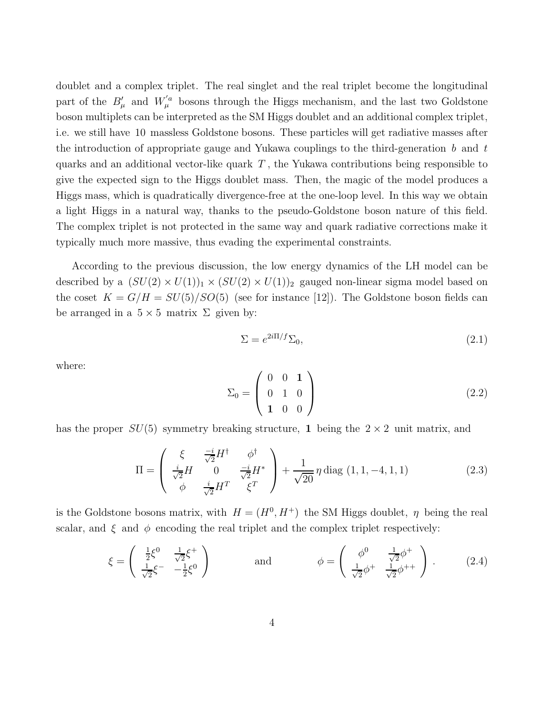doublet and a complex triplet. The real singlet and the real triplet become the longitudinal part of the  $B'_{\mu}$  and  $W'^{a}_{\mu}$  bosons through the Higgs mechanism, and the last two Goldstone boson multiplets can be interpreted as the SM Higgs doublet and an additional complex triplet, i.e. we still have 10 massless Goldstone bosons. These particles will get radiative masses after the introduction of appropriate gauge and Yukawa couplings to the third-generation  $b$  and  $t$ quarks and an additional vector-like quark  $T$ , the Yukawa contributions being responsible to give the expected sign to the Higgs doublet mass. Then, the magic of the model produces a Higgs mass, which is quadratically divergence-free at the one-loop level. In this way we obtain a light Higgs in a natural way, thanks to the pseudo-Goldstone boson nature of this field. The complex triplet is not protected in the same way and quark radiative corrections make it typically much more massive, thus evading the experimental constraints.

According to the previous discussion, the low energy dynamics of the LH model can be described by a  $(SU(2) \times U(1))_1 \times (SU(2) \times U(1))_2$  gauged non-linear sigma model based on the coset  $K = G/H = SU(5)/SO(5)$  (see for instance [12]). The Goldstone boson fields can be arranged in a  $5 \times 5$  matrix  $\Sigma$  given by:

$$
\Sigma = e^{2i\Pi/f} \Sigma_0,\tag{2.1}
$$

where:

$$
\Sigma_0 = \left(\begin{array}{ccc} 0 & 0 & 1 \\ 0 & 1 & 0 \\ 1 & 0 & 0 \end{array}\right) \tag{2.2}
$$

has the proper  $SU(5)$  symmetry breaking structure, 1 being the  $2 \times 2$  unit matrix, and

$$
\Pi = \begin{pmatrix} \xi & \frac{-i}{\sqrt{2}} H^{\dagger} & \phi^{\dagger} \\ \frac{i}{\sqrt{2}} H & 0 & \frac{-i}{\sqrt{2}} H^* \\ \phi & \frac{i}{\sqrt{2}} H^T & \xi^T \end{pmatrix} + \frac{1}{\sqrt{20}} \eta \operatorname{diag} (1, 1, -4, 1, 1) \tag{2.3}
$$

is the Goldstone bosons matrix, with  $H = (H^0, H^+)$  the SM Higgs doublet,  $\eta$  being the real scalar, and  $\xi$  and  $\phi$  encoding the real triplet and the complex triplet respectively:

$$
\xi = \begin{pmatrix} \frac{1}{2}\xi^0 & \frac{1}{\sqrt{2}}\xi^+ \\ \frac{1}{\sqrt{2}}\xi^- & -\frac{1}{2}\xi^0 \end{pmatrix} \quad \text{and} \quad \phi = \begin{pmatrix} \phi^0 & \frac{1}{\sqrt{2}}\phi^+ \\ \frac{1}{\sqrt{2}}\phi^+ & \frac{1}{\sqrt{2}}\phi^{++} \end{pmatrix} . \quad (2.4)
$$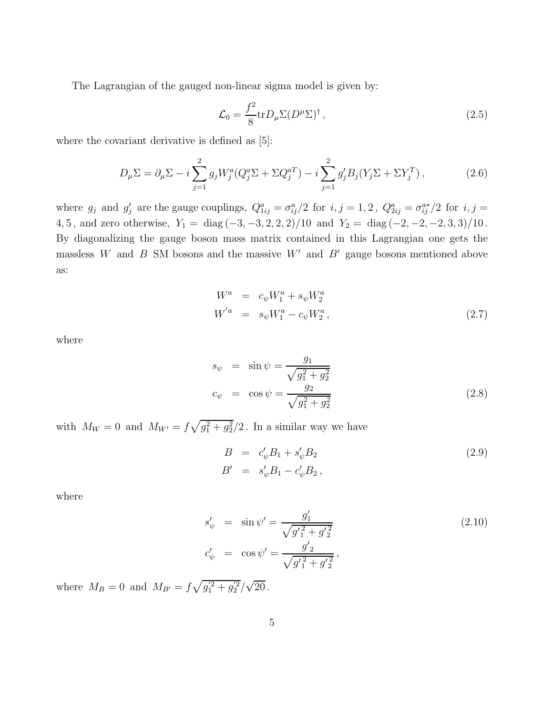The Lagrangian of the gauged non-linear sigma model is given by:

$$
\mathcal{L}_0 = \frac{f^2}{8} \text{tr} D_\mu \Sigma (D^\mu \Sigma)^\dagger \,, \tag{2.5}
$$

where the covariant derivative is defined as [5]:

$$
D_{\mu}\Sigma = \partial_{\mu}\Sigma - i\sum_{j=1}^{2} g_j W_j^a (Q_j^a \Sigma + \Sigma Q_j^{aT}) - i\sum_{j=1}^{2} g_j' B_j (Y_j \Sigma + \Sigma Y_j^T), \qquad (2.6)
$$

where  $g_j$  and  $g'_j$  are the gauge couplings,  $Q_{1ij}^a = \sigma_{ij}^a/2$  for  $i, j = 1, 2$ ,  $Q_{2ij}^a = \sigma_{ij}^{a*}/2$  for  $i, j = 1$ 4, 5, and zero otherwise,  $Y_1 = \text{diag}(-3, -3, 2, 2, 2)/10$  and  $Y_2 = \text{diag}(-2, -2, -2, 3, 3)/10$ . By diagonalizing the gauge boson mass matrix contained in this Lagrangian one gets the massless W and B SM bosons and the massive  $W'$  and  $B'$  gauge bosons mentioned above as:

$$
W^{a} = c_{\psi} W_{1}^{a} + s_{\psi} W_{2}^{a}
$$
  
\n
$$
W^{'a} = s_{\psi} W_{1}^{a} - c_{\psi} W_{2}^{a},
$$
\n(2.7)

where

$$
s_{\psi} = \sin \psi = \frac{g_1}{\sqrt{g_1^2 + g_2^2}}
$$
  
\n
$$
c_{\psi} = \cos \psi = \frac{g_2}{\sqrt{g_1^2 + g_2^2}}
$$
\n(2.8)

with  $M_W = 0$  and  $M_{W'} = f \sqrt{g_1^2 + g_2^2}/2$ . In a similar way we have

$$
B = c'_{\psi} B_1 + s'_{\psi} B_2
$$
  
\n
$$
B' = s'_{\psi} B_1 - c'_{\psi} B_2,
$$
\n(2.9)

where

$$
s'_{\psi} = \sin \psi' = \frac{g'_1}{\sqrt{g'_1{}^2 + g'_2} \qquad (2.10)
$$
  

$$
c'_{\psi} = \cos \psi' = \frac{g'_2}{\sqrt{g'_1{}^2 + g'_2} \qquad (2.10)
$$

where  $M_B = 0$  and  $M_{B'} = f \sqrt{g_1^{'2} + g_2^{'2}} / \sqrt{20}$ .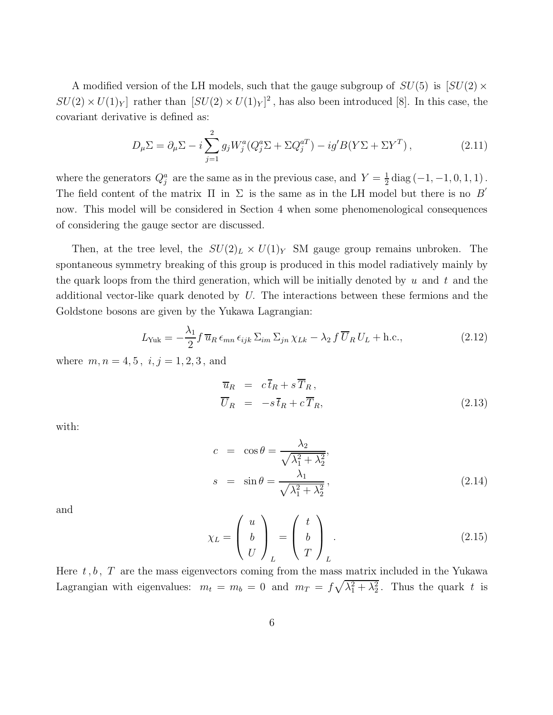A modified version of the LH models, such that the gauge subgroup of  $SU(5)$  is  $SU(2) \times$  $SU(2) \times U(1)_Y$  rather than  $[SU(2) \times U(1)_Y]^2$ , has also been introduced [8]. In this case, the covariant derivative is defined as:

$$
D_{\mu}\Sigma = \partial_{\mu}\Sigma - i\sum_{j=1}^{2} g_j W_j^a (Q_j^a \Sigma + \Sigma Q_j^{aT}) - ig' B(Y\Sigma + \Sigma Y^T), \qquad (2.11)
$$

where the generators  $Q_j^a$  are the same as in the previous case, and  $Y = \frac{1}{2}$  $\frac{1}{2}$  diag  $(-1, -1, 0, 1, 1)$ . The field content of the matrix  $\Pi$  in  $\Sigma$  is the same as in the LH model but there is no  $B'$ now. This model will be considered in Section 4 when some phenomenological consequences of considering the gauge sector are discussed.

Then, at the tree level, the  $SU(2)_L \times U(1)_Y$  SM gauge group remains unbroken. The spontaneous symmetry breaking of this group is produced in this model radiatively mainly by the quark loops from the third generation, which will be initially denoted by  $u$  and  $t$  and the additional vector-like quark denoted by U. The interactions between these fermions and the Goldstone bosons are given by the Yukawa Lagrangian:

$$
L_{\text{Yuk}} = -\frac{\lambda_1}{2} f \, \overline{u}_R \, \epsilon_{mn} \, \epsilon_{ijk} \, \Sigma_{im} \, \Sigma_{jn} \, \chi_{Lk} - \lambda_2 \, f \, \overline{U}_R \, U_L + \text{h.c.}, \tag{2.12}
$$

where  $m, n = 4, 5, i, j = 1, 2, 3,$  and

$$
\overline{u}_R = c\overline{t}_R + s\overline{T}_R, \n\overline{U}_R = -s\overline{t}_R + c\overline{T}_R,
$$
\n(2.13)

with:

$$
c = \cos \theta = \frac{\lambda_2}{\sqrt{\lambda_1^2 + \lambda_2^2}},
$$
  

$$
s = \sin \theta = \frac{\lambda_1}{\sqrt{\lambda_1^2 + \lambda_2^2}},
$$
 (2.14)

and

$$
\chi_L = \begin{pmatrix} u \\ b \\ U \end{pmatrix}_L = \begin{pmatrix} t \\ b \\ T \end{pmatrix}_L.
$$
\n(2.15)

Here  $t, b, T$  are the mass eigenvectors coming from the mass matrix included in the Yukawa Lagrangian with eigenvalues:  $m_t = m_b = 0$  and  $m_T = f\sqrt{\lambda_1^2 + \lambda_2^2}$ . Thus the quark t is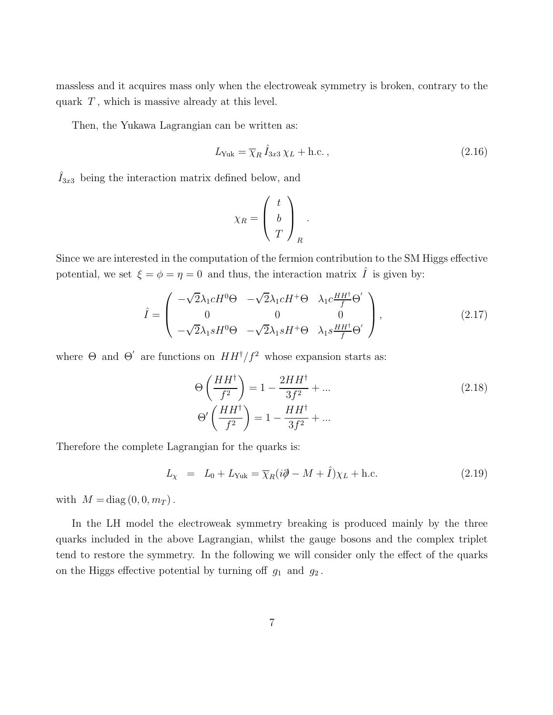massless and it acquires mass only when the electroweak symmetry is broken, contrary to the quark  $T$ , which is massive already at this level.

Then, the Yukawa Lagrangian can be written as:

$$
L_{\text{Yuk}} = \overline{\chi}_R \hat{I}_{3x3} \chi_L + \text{h.c.} \,, \tag{2.16}
$$

 $\hat{I}_{3x3}$  being the interaction matrix defined below, and

$$
\chi_R = \left(\begin{array}{c} t \\ b \\ T \end{array}\right)_R.
$$

Since we are interested in the computation of the fermion contribution to the SM Higgs effective potential, we set  $\xi = \phi = \eta = 0$  and thus, the interaction matrix  $\hat{I}$  is given by:

$$
\hat{I} = \begin{pmatrix}\n-\sqrt{2}\lambda_1 c H^0 \Theta & -\sqrt{2}\lambda_1 c H^+ \Theta & \lambda_1 c \frac{H H^\dagger}{f} \Theta' \\
0 & 0 & 0 \\
-\sqrt{2}\lambda_1 s H^0 \Theta & -\sqrt{2}\lambda_1 s H^+ \Theta & \lambda_1 s \frac{H H^\dagger}{f} \Theta'\n\end{pmatrix},
$$
\n(2.17)

where  $\Theta$  and  $\Theta'$  are functions on  $HH^{\dagger}/f^2$  whose expansion starts as:

$$
\Theta\left(\frac{HH^{\dagger}}{f^2}\right) = 1 - \frac{2HH^{\dagger}}{3f^2} + \dots
$$
\n
$$
\Theta'\left(\frac{HH^{\dagger}}{f^2}\right) = 1 - \frac{HH^{\dagger}}{3f^2} + \dots
$$
\n(2.18)

Therefore the complete Lagrangian for the quarks is:

$$
L_{\chi} = L_0 + L_{\text{Yuk}} = \overline{\chi}_R (i\partial \!\!\!/ - M + \hat{I}) \chi_L + \text{h.c.} \tag{2.19}
$$

with  $M = \text{diag}(0, 0, m_T)$ .

In the LH model the electroweak symmetry breaking is produced mainly by the three quarks included in the above Lagrangian, whilst the gauge bosons and the complex triplet tend to restore the symmetry. In the following we will consider only the effect of the quarks on the Higgs effective potential by turning off  $g_1$  and  $g_2$ .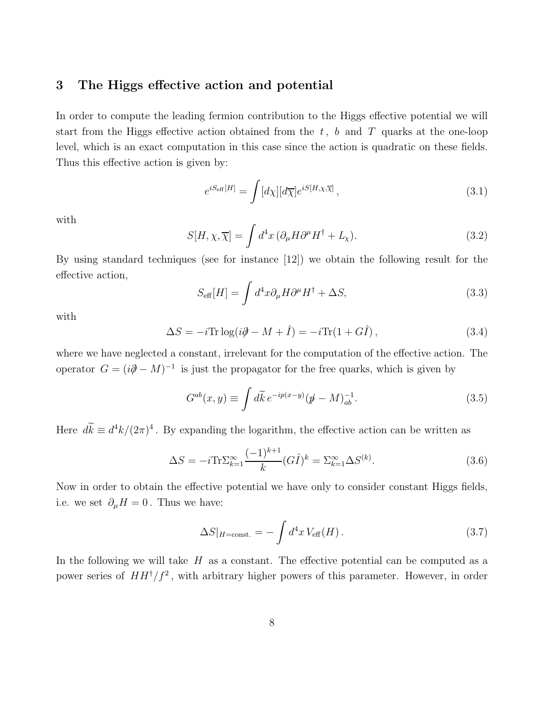## 3 The Higgs effective action and potential

In order to compute the leading fermion contribution to the Higgs effective potential we will start from the Higgs effective action obtained from the  $t, b$  and T quarks at the one-loop level, which is an exact computation in this case since the action is quadratic on these fields. Thus this effective action is given by:

$$
e^{iS_{\text{eff}}[H]} = \int [d\chi][d\overline{\chi}] e^{iS[H,\chi,\overline{\chi}]}, \qquad (3.1)
$$

with

$$
S[H, \chi, \overline{\chi}] = \int d^4x \, (\partial_\mu H \partial^\mu H^\dagger + L_\chi). \tag{3.2}
$$

By using standard techniques (see for instance [12]) we obtain the following result for the effective action,

$$
S_{\text{eff}}[H] = \int d^4x \partial_\mu H \partial^\mu H^\dagger + \Delta S,\tag{3.3}
$$

with

$$
\Delta S = -i \text{Tr} \log(i\partial \!\!\!/ - M + \hat{I}) = -i \text{Tr}(1 + G\hat{I}), \qquad (3.4)
$$

where we have neglected a constant, irrelevant for the computation of the effective action. The operator  $G = (i\partial \hspace{-1.2mm} \partial - M)^{-1}$  is just the propagator for the free quarks, which is given by

$$
G^{ab}(x,y) \equiv \int d\widetilde{k} \, e^{-ip(x-y)} (\not\! p - M)^{-1}_{ab}.
$$
\n(3.5)

Here  $d\vec{k} \equiv d^4k/(2\pi)^4$ . By expanding the logarithm, the effective action can be written as

$$
\Delta S = -i \text{Tr} \Sigma_{k=1}^{\infty} \frac{(-1)^{k+1}}{k} (G \hat{I})^k = \Sigma_{k=1}^{\infty} \Delta S^{(k)}.
$$
\n(3.6)

Now in order to obtain the effective potential we have only to consider constant Higgs fields, i.e. we set  $\partial_{\mu}H=0$ . Thus we have:

$$
\Delta S|_{H=\text{const.}} = -\int d^4x \, V_{\text{eff}}(H) \,. \tag{3.7}
$$

In the following we will take  $H$  as a constant. The effective potential can be computed as a power series of  $HH^{\dagger}/f^2$ , with arbitrary higher powers of this parameter. However, in order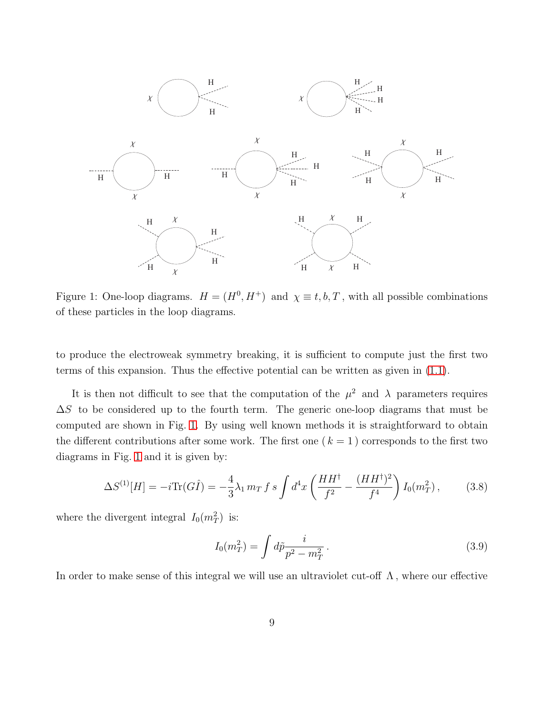

<span id="page-9-0"></span>Figure 1: One-loop diagrams.  $H = (H^0, H^+)$  and  $\chi \equiv t, b, T$ , with all possible combinations of these particles in the loop diagrams.

to produce the electroweak symmetry breaking, it is sufficient to compute just the first two terms of this expansion. Thus the effective potential can be written as given in [\(1.1\)](#page-1-0).

It is then not difficult to see that the computation of the  $\mu^2$  and  $\lambda$  parameters requires  $\Delta S$  to be considered up to the fourth term. The generic one-loop diagrams that must be computed are shown in Fig. [1.](#page-9-0) By using well known methods it is straightforward to obtain the different contributions after some work. The first one  $(k = 1)$  corresponds to the first two diagrams in Fig. [1](#page-9-0) and it is given by:

$$
\Delta S^{(1)}[H] = -i \text{Tr}(G\hat{I}) = -\frac{4}{3}\lambda_1 m_T f s \int d^4x \left(\frac{HH^\dagger}{f^2} - \frac{(HH^\dagger)^2}{f^4}\right) I_0(m_T^2) ,\qquad (3.8)
$$

where the divergent integral  $I_0(m_T^2)$  is:

$$
I_0(m_T^2) = \int d\tilde{p} \frac{i}{p^2 - m_T^2} \,. \tag{3.9}
$$

In order to make sense of this integral we will use an ultraviolet cut-off  $\Lambda$ , where our effective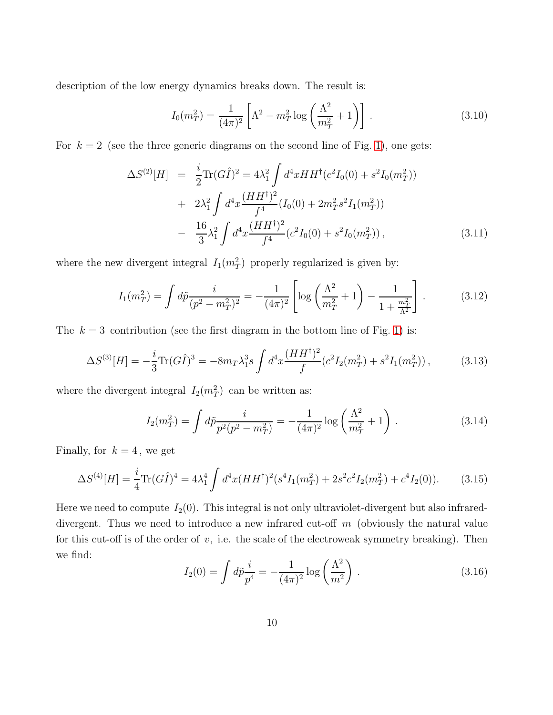description of the low energy dynamics breaks down. The result is:

$$
I_0(m_T^2) = \frac{1}{(4\pi)^2} \left[ \Lambda^2 - m_T^2 \log \left( \frac{\Lambda^2}{m_T^2} + 1 \right) \right].
$$
 (3.10)

For  $k = 2$  (see the three generic diagrams on the second line of Fig. [1\)](#page-9-0), one gets:

$$
\Delta S^{(2)}[H] = \frac{i}{2} \text{Tr}(G\hat{I})^2 = 4\lambda_1^2 \int d^4x HH^{\dagger} (c^2 I_0(0) + s^2 I_0(m_T^2))
$$
  
+ 
$$
2\lambda_1^2 \int d^4x \frac{(HH^{\dagger})^2}{f^4} (I_0(0) + 2m_T^2 s^2 I_1(m_T^2))
$$
  
- 
$$
\frac{16}{3} \lambda_1^2 \int d^4x \frac{(HH^{\dagger})^2}{f^4} (c^2 I_0(0) + s^2 I_0(m_T^2)), \qquad (3.11)
$$

where the new divergent integral  $I_1(m_T^2)$  properly regularized is given by:

$$
I_1(m_T^2) = \int d\tilde{p} \frac{i}{(p^2 - m_T^2)^2} = -\frac{1}{(4\pi)^2} \left[ \log \left( \frac{\Lambda^2}{m_T^2} + 1 \right) - \frac{1}{1 + \frac{m_T^2}{\Lambda^2}} \right].
$$
 (3.12)

The  $k = 3$  contribution (see the first diagram in the bottom line of Fig. [1\)](#page-9-0) is:

$$
\Delta S^{(3)}[H] = -\frac{i}{3} \text{Tr}(G\hat{I})^3 = -8m_T \lambda_1^3 s \int d^4x \frac{(HH^\dagger)^2}{f} (c^2 I_2(m_T^2) + s^2 I_1(m_T^2)),\tag{3.13}
$$

where the divergent integral  $I_2(m_T^2)$  can be written as:

$$
I_2(m_T^2) = \int d\tilde{p} \frac{i}{p^2(p^2 - m_T^2)} = -\frac{1}{(4\pi)^2} \log\left(\frac{\Lambda^2}{m_T^2} + 1\right).
$$
 (3.14)

Finally, for  $k = 4$ , we get

$$
\Delta S^{(4)}[H] = \frac{i}{4} \text{Tr}(G\hat{I})^4 = 4\lambda_1^4 \int d^4x (HH^\dagger)^2 (s^4 I_1(m_T^2) + 2s^2 c^2 I_2(m_T^2) + c^4 I_2(0)). \tag{3.15}
$$

Here we need to compute  $I_2(0)$ . This integral is not only ultraviolet-divergent but also infrareddivergent. Thus we need to introduce a new infrared cut-off m (obviously the natural value for this cut-off is of the order of  $v$ , i.e. the scale of the electroweak symmetry breaking). Then we find:

$$
I_2(0) = \int d\tilde{p} \frac{i}{p^4} = -\frac{1}{(4\pi)^2} \log\left(\frac{\Lambda^2}{m^2}\right) \,. \tag{3.16}
$$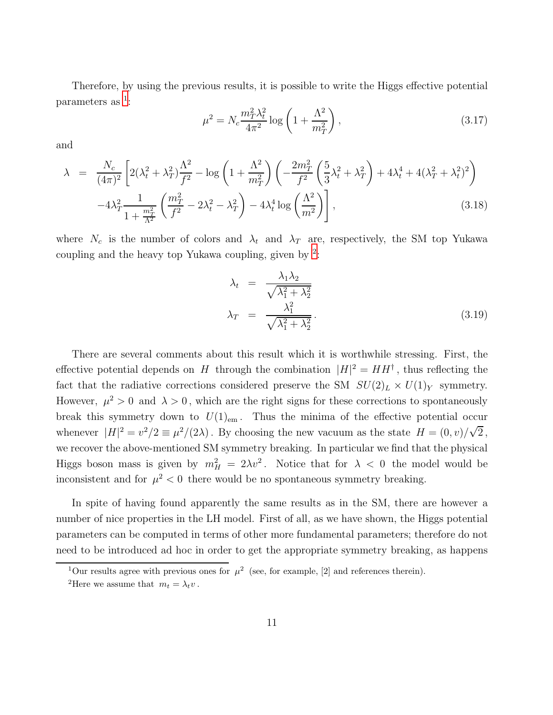Therefore, by using the previous results, it is possible to write the Higgs effective potential parameters as  $1$ :

<span id="page-11-2"></span>
$$
\mu^2 = N_c \frac{m_T^2 \lambda_t^2}{4\pi^2} \log \left( 1 + \frac{\Lambda^2}{m_T^2} \right),
$$
\n(3.17)

and

<span id="page-11-3"></span>
$$
\lambda = \frac{N_c}{(4\pi)^2} \left[ 2(\lambda_t^2 + \lambda_T^2) \frac{\Lambda^2}{f^2} - \log\left(1 + \frac{\Lambda^2}{m_T^2}\right) \left( -\frac{2m_T^2}{f^2} \left(\frac{5}{3}\lambda_t^2 + \lambda_T^2\right) + 4\lambda_t^4 + 4(\lambda_T^2 + \lambda_t^2)^2 \right) - 4\lambda_T^2 \frac{1}{1 + \frac{m_T^2}{\Lambda^2}} \left(\frac{m_T^2}{f^2} - 2\lambda_t^2 - \lambda_T^2\right) - 4\lambda_t^4 \log\left(\frac{\Lambda^2}{m^2}\right) \right],
$$
\n(3.18)

where  $N_c$  is the number of colors and  $\lambda_t$  and  $\lambda_T$  are, respectively, the SM top Yukawa coupling and the heavy top Yukawa coupling, given by  $2$ .

$$
\lambda_t = \frac{\lambda_1 \lambda_2}{\sqrt{\lambda_1^2 + \lambda_2^2}}
$$
\n
$$
\lambda_T = \frac{\lambda_1^2}{\sqrt{\lambda_1^2 + \lambda_2^2}}.
$$
\n(3.19)

There are several comments about this result which it is worthwhile stressing. First, the effective potential depends on H through the combination  $|H|^2 = HH^{\dagger}$ , thus reflecting the fact that the radiative corrections considered preserve the SM  $SU(2)_L \times U(1)_Y$  symmetry. However,  $\mu^2 > 0$  and  $\lambda > 0$ , which are the right signs for these corrections to spontaneously break this symmetry down to  $U(1)_{em}$ . Thus the minima of the effective potential occur whenever  $|H|^2 = v^2/2 \equiv \mu^2/(2\lambda)$ . By choosing the new vacuum as the state  $H = (0, v)/\sqrt{2}$ , we recover the above-mentioned SM symmetry breaking. In particular we find that the physical Higgs boson mass is given by  $m_H^2 = 2\lambda v^2$ . Notice that for  $\lambda < 0$  the model would be inconsistent and for  $\mu^2 < 0$  there would be no spontaneous symmetry breaking.

In spite of having found apparently the same results as in the SM, there are however a number of nice properties in the LH model. First of all, as we have shown, the Higgs potential parameters can be computed in terms of other more fundamental parameters; therefore do not need to be introduced ad hoc in order to get the appropriate symmetry breaking, as happens

<sup>&</sup>lt;sup>1</sup>Our results agree with previous ones for  $\mu^2$  (see, for example, [2] and references therein).

<span id="page-11-1"></span><span id="page-11-0"></span><sup>&</sup>lt;sup>2</sup>Here we assume that  $m_t = \lambda_t v$ .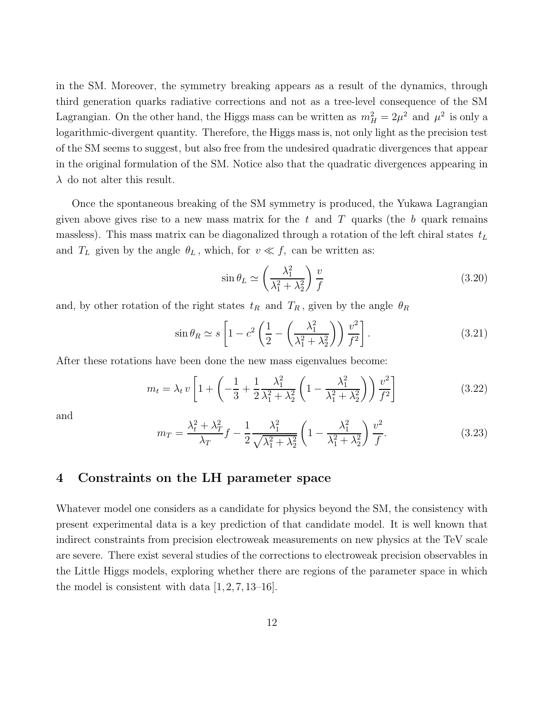in the SM. Moreover, the symmetry breaking appears as a result of the dynamics, through third generation quarks radiative corrections and not as a tree-level consequence of the SM Lagrangian. On the other hand, the Higgs mass can be written as  $m_H^2 = 2\mu^2$  and  $\mu^2$  is only a logarithmic-divergent quantity. Therefore, the Higgs mass is, not only light as the precision test of the SM seems to suggest, but also free from the undesired quadratic divergences that appear in the original formulation of the SM. Notice also that the quadratic divergences appearing in  $\lambda$  do not alter this result.

Once the spontaneous breaking of the SM symmetry is produced, the Yukawa Lagrangian given above gives rise to a new mass matrix for the t and T quarks (the b quark remains massless). This mass matrix can be diagonalized through a rotation of the left chiral states  $t_L$ and  $T_L$  given by the angle  $\theta_L$ , which, for  $v \ll f$ , can be written as:

$$
\sin \theta_L \simeq \left(\frac{\lambda_1^2}{\lambda_1^2 + \lambda_2^2}\right) \frac{v}{f} \tag{3.20}
$$

and, by other rotation of the right states  $t_R$  and  $T_R$ , given by the angle  $\theta_R$ 

$$
\sin \theta_R \simeq s \left[ 1 - c^2 \left( \frac{1}{2} - \left( \frac{\lambda_1^2}{\lambda_1^2 + \lambda_2^2} \right) \right) \frac{v^2}{f^2} \right].
$$
\n(3.21)

After these rotations have been done the new mass eigenvalues become:

$$
m_t = \lambda_t v \left[ 1 + \left( -\frac{1}{3} + \frac{1}{2} \frac{\lambda_1^2}{\lambda_1^2 + \lambda_2^2} \left( 1 - \frac{\lambda_1^2}{\lambda_1^2 + \lambda_2^2} \right) \right) \frac{v^2}{f^2} \right]
$$
(3.22)

and

<span id="page-12-0"></span>
$$
m_T = \frac{\lambda_t^2 + \lambda_T^2}{\lambda_T} f - \frac{1}{2} \frac{\lambda_1^2}{\sqrt{\lambda_1^2 + \lambda_2^2}} \left( 1 - \frac{\lambda_1^2}{\lambda_1^2 + \lambda_2^2} \right) \frac{v^2}{f}.
$$
 (3.23)

# 4 Constraints on the LH parameter space

Whatever model one considers as a candidate for physics beyond the SM, the consistency with present experimental data is a key prediction of that candidate model. It is well known that indirect constraints from precision electroweak measurements on new physics at the TeV scale are severe. There exist several studies of the corrections to electroweak precision observables in the Little Higgs models, exploring whether there are regions of the parameter space in which the model is consistent with data  $[1, 2, 7, 13-16]$ .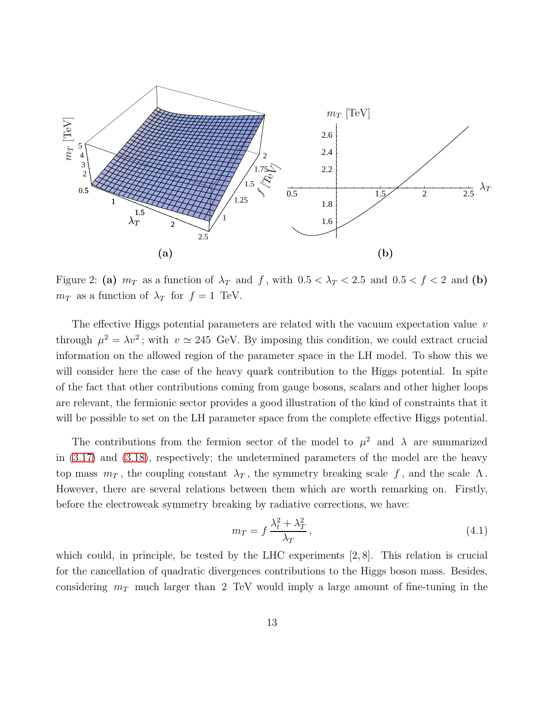

<span id="page-13-0"></span>Figure 2: (a)  $m_T$  as a function of  $\lambda_T$  and f, with  $0.5 < \lambda_T < 2.5$  and  $0.5 < f < 2$  and (b)  $m_T$  as a function of  $\lambda_T$  for  $f = 1$  TeV.

The effective Higgs potential parameters are related with the vacuum expectation value  $v$ through  $\mu^2 = \lambda v^2$ ; with  $v \approx 245$  GeV. By imposing this condition, we could extract crucial information on the allowed region of the parameter space in the LH model. To show this we will consider here the case of the heavy quark contribution to the Higgs potential. In spite of the fact that other contributions coming from gauge bosons, scalars and other higher loops are relevant, the fermionic sector provides a good illustration of the kind of constraints that it will be possible to set on the LH parameter space from the complete effective Higgs potential.

The contributions from the fermion sector of the model to  $\mu^2$  and  $\lambda$  are summarized in [\(3.17\)](#page-11-2) and [\(3.18\)](#page-11-3), respectively; the undetermined parameters of the model are the heavy top mass  $m<sub>T</sub>$ , the coupling constant  $\lambda<sub>T</sub>$ , the symmetry breaking scale f, and the scale  $\Lambda$ . However, there are several relations between them which are worth remarking on. Firstly, before the electroweak symmetry breaking by radiative corrections, we have:

$$
m_T = f \frac{\lambda_t^2 + \lambda_T^2}{\lambda_T},\tag{4.1}
$$

which could, in principle, be tested by the LHC experiments [2, 8]. This relation is crucial for the cancellation of quadratic divergences contributions to the Higgs boson mass. Besides, considering  $m<sub>T</sub>$  much larger than 2 TeV would imply a large amount of fine-tuning in the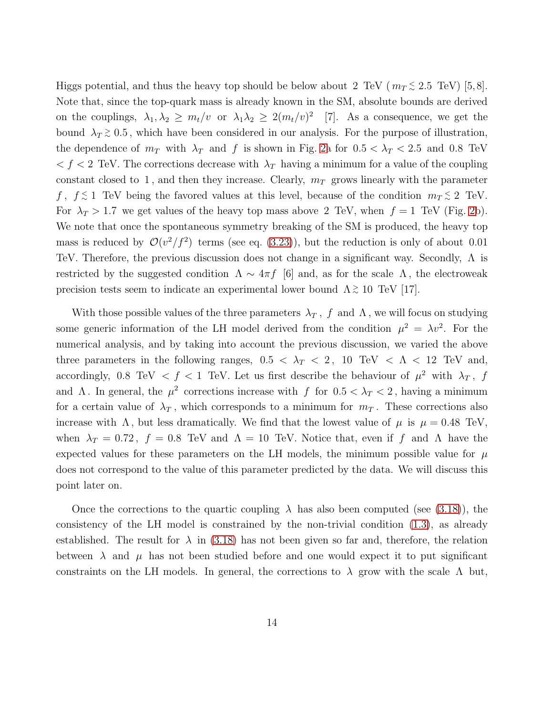Higgs potential, and thus the heavy top should be below about 2 TeV ( $m_T \lesssim 2.5$  TeV) [5,8]. Note that, since the top-quark mass is already known in the SM, absolute bounds are derived on the couplings,  $\lambda_1, \lambda_2 \geq m_t/v$  or  $\lambda_1 \lambda_2 \geq 2(m_t/v)^2$  [7]. As a consequence, we get the bound  $\lambda_T \gtrsim 0.5$ , which have been considered in our analysis. For the purpose of illustration, the dependence of  $m<sub>T</sub>$  with  $\lambda<sub>T</sub>$  and f is shown in Fig. [2a](#page-13-0) for  $0.5 < \lambda<sub>T</sub> < 2.5$  and 0.8 TeV  $\langle f \rangle$  TeV. The corrections decrease with  $\lambda_T$  having a minimum for a value of the coupling constant closed to 1, and then they increase. Clearly,  $m_T$  grows linearly with the parameter f,  $f \lesssim 1$  TeV being the favored values at this level, because of the condition  $m_T \lesssim 2$  TeV. For  $\lambda_T > 1.7$  we get values of the heavy top mass above 2 TeV, when  $f = 1$  TeV (Fig. [2b](#page-13-0)). We note that once the spontaneous symmetry breaking of the SM is produced, the heavy top mass is reduced by  $\mathcal{O}(v^2/f^2)$  terms (see eq. [\(3.23\)](#page-12-0)), but the reduction is only of about 0.01 TeV. Therefore, the previous discussion does not change in a significant way. Secondly, Λ is restricted by the suggested condition  $\Lambda \sim 4\pi f$  [6] and, as for the scale  $\Lambda$ , the electroweak precision tests seem to indicate an experimental lower bound  $\Lambda \gtrsim 10$  TeV [17].

With those possible values of the three parameters  $\lambda_T$ , f and  $\Lambda$ , we will focus on studying some generic information of the LH model derived from the condition  $\mu^2 = \lambda v^2$ . For the numerical analysis, and by taking into account the previous discussion, we varied the above three parameters in the following ranges,  $0.5 < \lambda_T < 2$ ,  $10 \text{ TeV} < \Lambda < 12 \text{ TeV}$  and, accordingly, 0.8 TeV  $\langle f \rangle$  f TeV. Let us first describe the behaviour of  $\mu^2$  with  $\lambda_T$ , f and  $\Lambda$ . In general, the  $\mu^2$  corrections increase with f for  $0.5 < \lambda_T < 2$ , having a minimum for a certain value of  $\lambda_T$ , which corresponds to a minimum for  $m_T$ . These corrections also increase with  $\Lambda$ , but less dramatically. We find that the lowest value of  $\mu$  is  $\mu = 0.48$  TeV, when  $\lambda_T = 0.72$ ,  $f = 0.8$  TeV and  $\Lambda = 10$  TeV. Notice that, even if f and  $\Lambda$  have the expected values for these parameters on the LH models, the minimum possible value for  $\mu$ does not correspond to the value of this parameter predicted by the data. We will discuss this point later on.

Once the corrections to the quartic coupling  $\lambda$  has also been computed (see [\(3.18\)](#page-11-3)), the consistency of the LH model is constrained by the non-trivial condition [\(1.3\)](#page-2-0), as already established. The result for  $\lambda$  in [\(3.18\)](#page-11-3) has not been given so far and, therefore, the relation between  $\lambda$  and  $\mu$  has not been studied before and one would expect it to put significant constraints on the LH models. In general, the corrections to  $\lambda$  grow with the scale  $\Lambda$  but,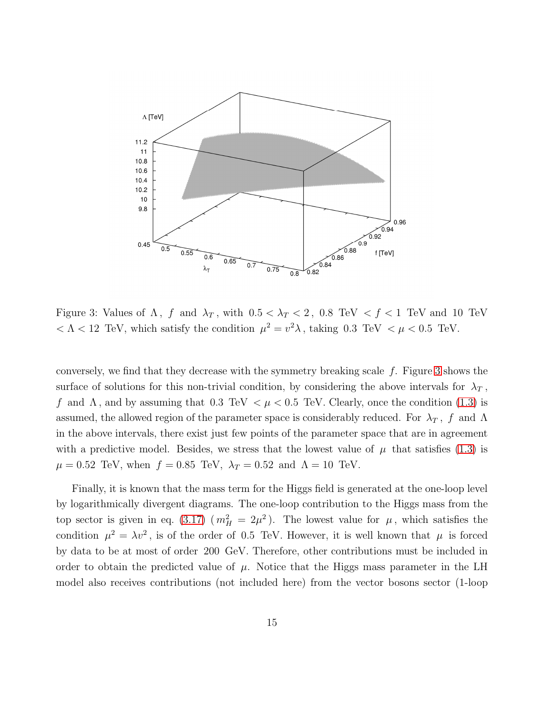

<span id="page-15-0"></span>Figure 3: Values of  $\Lambda$ , f and  $\lambda_T$ , with  $0.5 < \lambda_T < 2$ , 0.8 TeV  $\lt f \lt 1$  TeV and 10 TeV  $< \Lambda < 12$  TeV, which satisfy the condition  $\mu^2 = v^2 \lambda$ , taking 0.3 TeV  $< \mu < 0.5$  TeV.

conversely, we find that they decrease with the symmetry breaking scale  $f$ . Figure [3](#page-15-0) shows the surface of solutions for this non-trivial condition, by considering the above intervals for  $\lambda_T$ , f and  $\Lambda$ , and by assuming that 0.3 TeV  $\lt \mu \lt 0.5$  TeV. Clearly, once the condition [\(1.3\)](#page-2-0) is assumed, the allowed region of the parameter space is considerably reduced. For  $\lambda_T$ , f and  $\Lambda$ in the above intervals, there exist just few points of the parameter space that are in agreement with a predictive model. Besides, we stress that the lowest value of  $\mu$  that satisfies [\(1.3\)](#page-2-0) is  $\mu = 0.52$  TeV, when  $f = 0.85$  TeV,  $\lambda_T = 0.52$  and  $\Lambda = 10$  TeV.

Finally, it is known that the mass term for the Higgs field is generated at the one-loop level by logarithmically divergent diagrams. The one-loop contribution to the Higgs mass from the top sector is given in eq. [\(3.17\)](#page-11-2) ( $m_H^2 = 2\mu^2$ ). The lowest value for  $\mu$ , which satisfies the condition  $\mu^2 = \lambda v^2$ , is of the order of 0.5 TeV. However, it is well known that  $\mu$  is forced by data to be at most of order 200 GeV. Therefore, other contributions must be included in order to obtain the predicted value of  $\mu$ . Notice that the Higgs mass parameter in the LH model also receives contributions (not included here) from the vector bosons sector (1-loop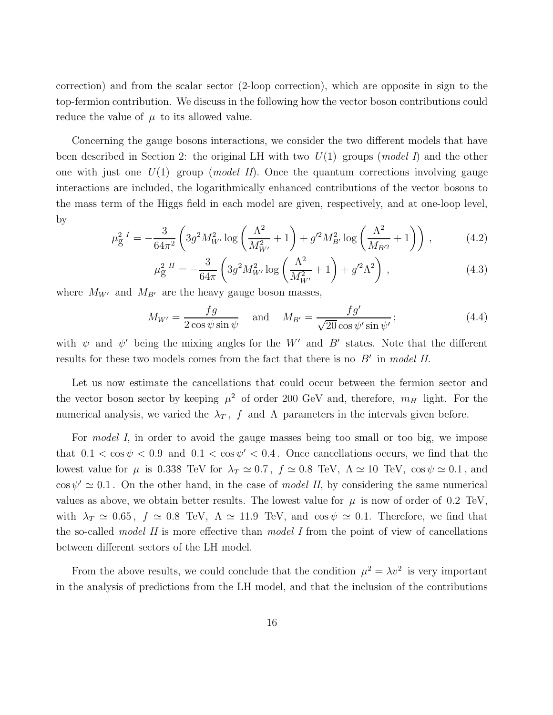correction) and from the scalar sector (2-loop correction), which are opposite in sign to the top-fermion contribution. We discuss in the following how the vector boson contributions could reduce the value of  $\mu$  to its allowed value.

Concerning the gauge bosons interactions, we consider the two different models that have been described in Section 2: the original LH with two  $U(1)$  groups (model I) and the other one with just one  $U(1)$  group (*model II*). Once the quantum corrections involving gauge interactions are included, the logarithmically enhanced contributions of the vector bosons to the mass term of the Higgs field in each model are given, respectively, and at one-loop level, by

$$
\mu_{g}^{2 I} = -\frac{3}{64\pi^{2}} \left( 3g^{2} M_{W'}^{2} \log \left( \frac{\Lambda^{2}}{M_{W'}^{2}} + 1 \right) + g'^{2} M_{B'}^{2} \log \left( \frac{\Lambda^{2}}{M_{B'^{2}}} + 1 \right) \right), \tag{4.2}
$$

$$
\mu_{\rm g}^{2~II} = -\frac{3}{64\pi} \left( 3g^2 M_{W'}^2 \log \left( \frac{\Lambda^2}{M_{W'}^2} + 1 \right) + g'^2 \Lambda^2 \right) \,, \tag{4.3}
$$

where  $M_{W'}$  and  $M_{B'}$  are the heavy gauge boson masses,

$$
M_{W'} = \frac{fg}{2\cos\psi\sin\psi} \quad \text{and} \quad M_{B'} = \frac{fg'}{\sqrt{20}\cos\psi'\sin\psi'};
$$
 (4.4)

with  $\psi$  and  $\psi'$  being the mixing angles for the W' and B' states. Note that the different results for these two models comes from the fact that there is no  $B'$  in model II.

Let us now estimate the cancellations that could occur between the fermion sector and the vector boson sector by keeping  $\mu^2$  of order 200 GeV and, therefore,  $m_H$  light. For the numerical analysis, we varied the  $\lambda_T$ , f and  $\Lambda$  parameters in the intervals given before.

For model I, in order to avoid the gauge masses being too small or too big, we impose that  $0.1 < \cos \psi < 0.9$  and  $0.1 < \cos \psi' < 0.4$ . Once cancellations occurs, we find that the lowest value for  $\mu$  is 0.338 TeV for  $\lambda_T \simeq 0.7$ ,  $f \simeq 0.8$  TeV,  $\Lambda \simeq 10$  TeV,  $\cos \psi \simeq 0.1$ , and  $\cos \psi' \simeq 0.1$ . On the other hand, in the case of *model II*, by considering the same numerical values as above, we obtain better results. The lowest value for  $\mu$  is now of order of 0.2 TeV, with  $\lambda_T \simeq 0.65$ ,  $f \simeq 0.8$  TeV,  $\Lambda \simeq 11.9$  TeV, and  $\cos \psi \simeq 0.1$ . Therefore, we find that the so-called *model II* is more effective than *model I* from the point of view of cancellations between different sectors of the LH model.

From the above results, we could conclude that the condition  $\mu^2 = \lambda v^2$  is very important in the analysis of predictions from the LH model, and that the inclusion of the contributions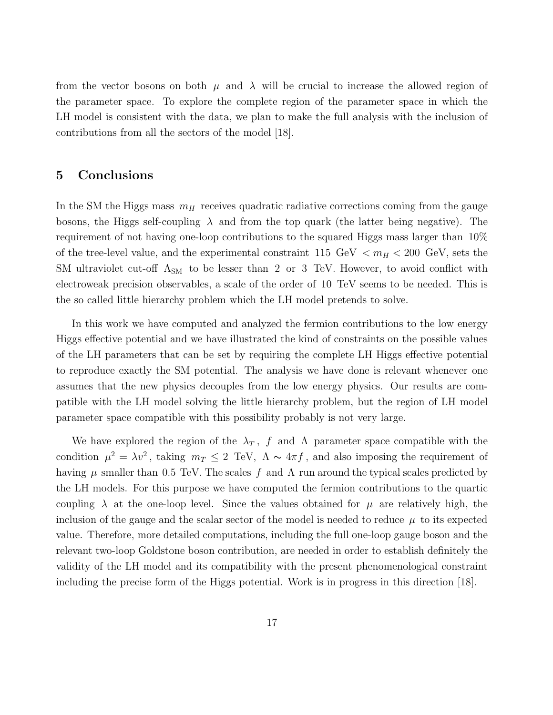from the vector bosons on both  $\mu$  and  $\lambda$  will be crucial to increase the allowed region of the parameter space. To explore the complete region of the parameter space in which the LH model is consistent with the data, we plan to make the full analysis with the inclusion of contributions from all the sectors of the model [18].

## 5 Conclusions

In the SM the Higgs mass  $m_H$  receives quadratic radiative corrections coming from the gauge bosons, the Higgs self-coupling  $\lambda$  and from the top quark (the latter being negative). The requirement of not having one-loop contributions to the squared Higgs mass larger than 10% of the tree-level value, and the experimental constraint 115 GeV  $\langle m_H \rangle$  = 200 GeV, sets the SM ultraviolet cut-off  $\Lambda_{SM}$  to be lesser than 2 or 3 TeV. However, to avoid conflict with electroweak precision observables, a scale of the order of 10 TeV seems to be needed. This is the so called little hierarchy problem which the LH model pretends to solve.

In this work we have computed and analyzed the fermion contributions to the low energy Higgs effective potential and we have illustrated the kind of constraints on the possible values of the LH parameters that can be set by requiring the complete LH Higgs effective potential to reproduce exactly the SM potential. The analysis we have done is relevant whenever one assumes that the new physics decouples from the low energy physics. Our results are compatible with the LH model solving the little hierarchy problem, but the region of LH model parameter space compatible with this possibility probably is not very large.

We have explored the region of the  $\lambda_T$ , f and  $\Lambda$  parameter space compatible with the condition  $\mu^2 = \lambda v^2$ , taking  $m_T \le 2 \text{ TeV}$ ,  $\Lambda \sim 4\pi f$ , and also imposing the requirement of having  $\mu$  smaller than 0.5 TeV. The scales f and  $\Lambda$  run around the typical scales predicted by the LH models. For this purpose we have computed the fermion contributions to the quartic coupling  $\lambda$  at the one-loop level. Since the values obtained for  $\mu$  are relatively high, the inclusion of the gauge and the scalar sector of the model is needed to reduce  $\mu$  to its expected value. Therefore, more detailed computations, including the full one-loop gauge boson and the relevant two-loop Goldstone boson contribution, are needed in order to establish definitely the validity of the LH model and its compatibility with the present phenomenological constraint including the precise form of the Higgs potential. Work is in progress in this direction [18].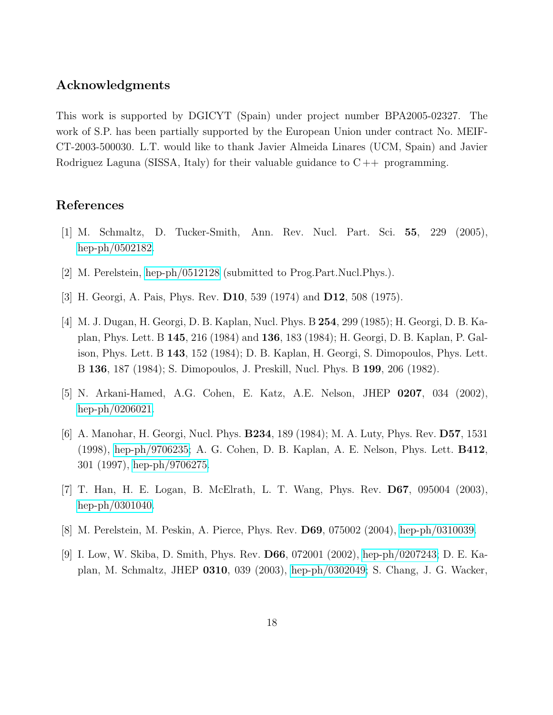## Acknowledgments

This work is supported by DGICYT (Spain) under project number BPA2005-02327. The work of S.P. has been partially supported by the European Union under contract No. MEIF-CT-2003-500030. L.T. would like to thank Javier Almeida Linares (UCM, Spain) and Javier Rodriguez Laguna (SISSA, Italy) for their valuable guidance to  $C_{++}$  programming.

# References

- [1] M. Schmaltz, D. Tucker-Smith, Ann. Rev. Nucl. Part. Sci. 55, 229 (2005), [hep-ph/0502182.](http://arXiv.org/abs/hep-ph/0502182)
- [2] M. Perelstein, [hep-ph/0512128](http://arXiv.org/abs/hep-ph/0512128) (submitted to Prog.Part.Nucl.Phys.).
- [3] H. Georgi, A. Pais, Phys. Rev. D10, 539 (1974) and D12, 508 (1975).
- [4] M. J. Dugan, H. Georgi, D. B. Kaplan, Nucl. Phys. B 254, 299 (1985); H. Georgi, D. B. Kaplan, Phys. Lett. B 145, 216 (1984) and 136, 183 (1984); H. Georgi, D. B. Kaplan, P. Galison, Phys. Lett. B 143, 152 (1984); D. B. Kaplan, H. Georgi, S. Dimopoulos, Phys. Lett. B 136, 187 (1984); S. Dimopoulos, J. Preskill, Nucl. Phys. B 199, 206 (1982).
- [5] N. Arkani-Hamed, A.G. Cohen, E. Katz, A.E. Nelson, JHEP 0207, 034 (2002), [hep-ph/0206021.](http://arXiv.org/abs/hep-ph/0206021)
- [6] A. Manohar, H. Georgi, Nucl. Phys. B234, 189 (1984); M. A. Luty, Phys. Rev. D57, 1531 (1998), [hep-ph/9706235;](http://arXiv.org/abs/hep-ph/9706235) A. G. Cohen, D. B. Kaplan, A. E. Nelson, Phys. Lett. B412, 301 (1997), [hep-ph/9706275.](http://arXiv.org/abs/hep-ph/9706275)
- [7] T. Han, H. E. Logan, B. McElrath, L. T. Wang, Phys. Rev. D67, 095004 (2003), [hep-ph/0301040.](http://arXiv.org/abs/hep-ph/0301040)
- [8] M. Perelstein, M. Peskin, A. Pierce, Phys. Rev. D69, 075002 (2004), [hep-ph/0310039.](http://arXiv.org/abs/hep-ph/0310039)
- [9] I. Low, W. Skiba, D. Smith, Phys. Rev. D66, 072001 (2002), [hep-ph/0207243;](http://arXiv.org/abs/hep-ph/0207243) D. E. Kaplan, M. Schmaltz, JHEP 0310, 039 (2003), [hep-ph/0302049;](http://arXiv.org/abs/hep-ph/0302049) S. Chang, J. G. Wacker,